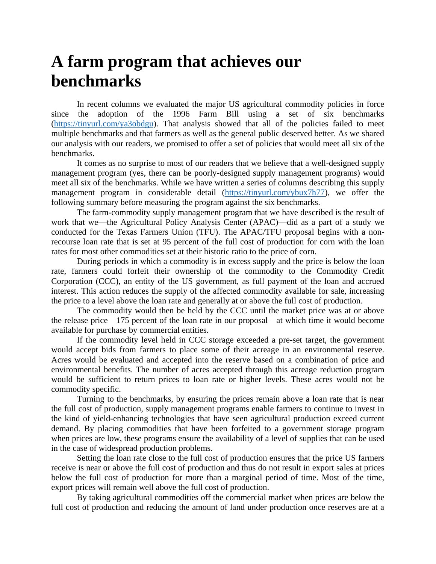## **A farm program that achieves our benchmarks**

In recent columns we evaluated the major US agricultural commodity policies in force since the adoption of the 1996 Farm Bill using a set of six benchmarks [\(https://tinyurl.com/ya3obdgu\)](https://tinyurl.com/ya3obdgu). That analysis showed that all of the policies failed to meet multiple benchmarks and that farmers as well as the general public deserved better. As we shared our analysis with our readers, we promised to offer a set of policies that would meet all six of the benchmarks.

It comes as no surprise to most of our readers that we believe that a well-designed supply management program (yes, there can be poorly-designed supply management programs) would meet all six of the benchmarks. While we have written a series of columns describing this supply management program in considerable detail [\(https://tinyurl.com/ybux7h77\)](https://tinyurl.com/ybux7h77), we offer the following summary before measuring the program against the six benchmarks.

The farm-commodity supply management program that we have described is the result of work that we—the Agricultural Policy Analysis Center (APAC)—did as a part of a study we conducted for the Texas Farmers Union (TFU). The APAC/TFU proposal begins with a nonrecourse loan rate that is set at 95 percent of the full cost of production for corn with the loan rates for most other commodities set at their historic ratio to the price of corn.

During periods in which a commodity is in excess supply and the price is below the loan rate, farmers could forfeit their ownership of the commodity to the Commodity Credit Corporation (CCC), an entity of the US government, as full payment of the loan and accrued interest. This action reduces the supply of the affected commodity available for sale, increasing the price to a level above the loan rate and generally at or above the full cost of production.

The commodity would then be held by the CCC until the market price was at or above the release price—175 percent of the loan rate in our proposal—at which time it would become available for purchase by commercial entities.

If the commodity level held in CCC storage exceeded a pre-set target, the government would accept bids from farmers to place some of their acreage in an environmental reserve. Acres would be evaluated and accepted into the reserve based on a combination of price and environmental benefits. The number of acres accepted through this acreage reduction program would be sufficient to return prices to loan rate or higher levels. These acres would not be commodity specific.

Turning to the benchmarks, by ensuring the prices remain above a loan rate that is near the full cost of production, supply management programs enable farmers to continue to invest in the kind of yield-enhancing technologies that have seen agricultural production exceed current demand. By placing commodities that have been forfeited to a government storage program when prices are low, these programs ensure the availability of a level of supplies that can be used in the case of widespread production problems.

Setting the loan rate close to the full cost of production ensures that the price US farmers receive is near or above the full cost of production and thus do not result in export sales at prices below the full cost of production for more than a marginal period of time. Most of the time, export prices will remain well above the full cost of production.

By taking agricultural commodities off the commercial market when prices are below the full cost of production and reducing the amount of land under production once reserves are at a